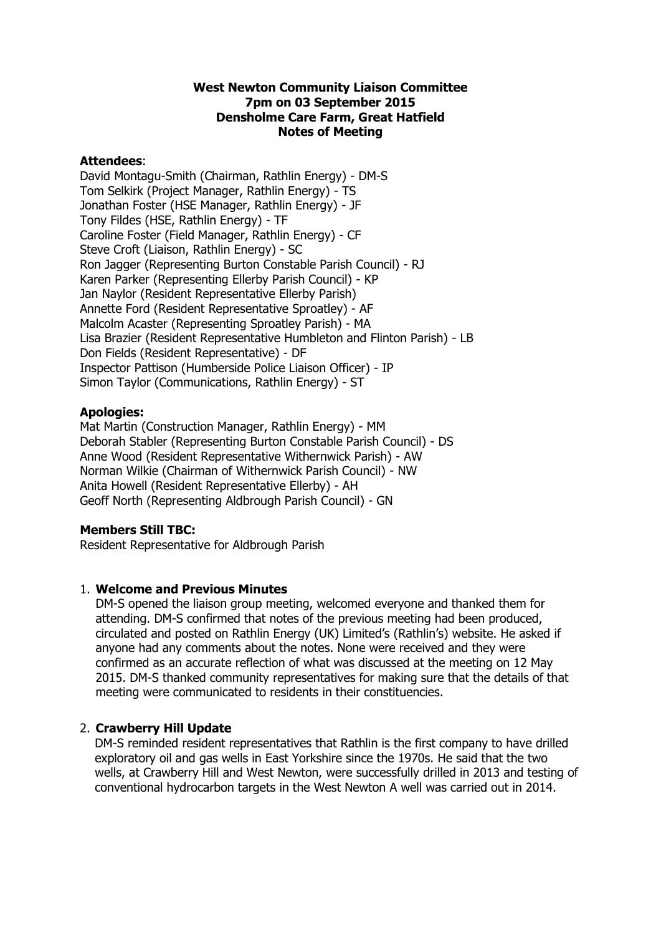## **West Newton Community Liaison Committee 7pm on 03 September 2015 Densholme Care Farm, Great Hatfield Notes of Meeting**

## **Attendees**:

David Montagu-Smith (Chairman, Rathlin Energy) - DM-S Tom Selkirk (Project Manager, Rathlin Energy) - TS Jonathan Foster (HSE Manager, Rathlin Energy) - JF Tony Fildes (HSE, Rathlin Energy) - TF Caroline Foster (Field Manager, Rathlin Energy) - CF Steve Croft (Liaison, Rathlin Energy) - SC Ron Jagger (Representing Burton Constable Parish Council) - RJ Karen Parker (Representing Ellerby Parish Council) - KP Jan Naylor (Resident Representative Ellerby Parish) Annette Ford (Resident Representative Sproatley) - AF Malcolm Acaster (Representing Sproatley Parish) - MA Lisa Brazier (Resident Representative Humbleton and Flinton Parish) - LB Don Fields (Resident Representative) - DF Inspector Pattison (Humberside Police Liaison Officer) - IP Simon Taylor (Communications, Rathlin Energy) - ST

## **Apologies:**

Mat Martin (Construction Manager, Rathlin Energy) - MM Deborah Stabler (Representing Burton Constable Parish Council) - DS Anne Wood (Resident Representative Withernwick Parish) - AW Norman Wilkie (Chairman of Withernwick Parish Council) - NW Anita Howell (Resident Representative Ellerby) - AH Geoff North (Representing Aldbrough Parish Council) - GN

## **Members Still TBC:**

Resident Representative for Aldbrough Parish

# 1. **Welcome and Previous Minutes**

DM-S opened the liaison group meeting, welcomed everyone and thanked them for attending. DM-S confirmed that notes of the previous meeting had been produced, circulated and posted on Rathlin Energy (UK) Limited's (Rathlin's) website. He asked if anyone had any comments about the notes. None were received and they were confirmed as an accurate reflection of what was discussed at the meeting on 12 May 2015. DM-S thanked community representatives for making sure that the details of that meeting were communicated to residents in their constituencies.

# 2. **Crawberry Hill Update**

DM-S reminded resident representatives that Rathlin is the first company to have drilled exploratory oil and gas wells in East Yorkshire since the 1970s. He said that the two wells, at Crawberry Hill and West Newton, were successfully drilled in 2013 and testing of conventional hydrocarbon targets in the West Newton A well was carried out in 2014.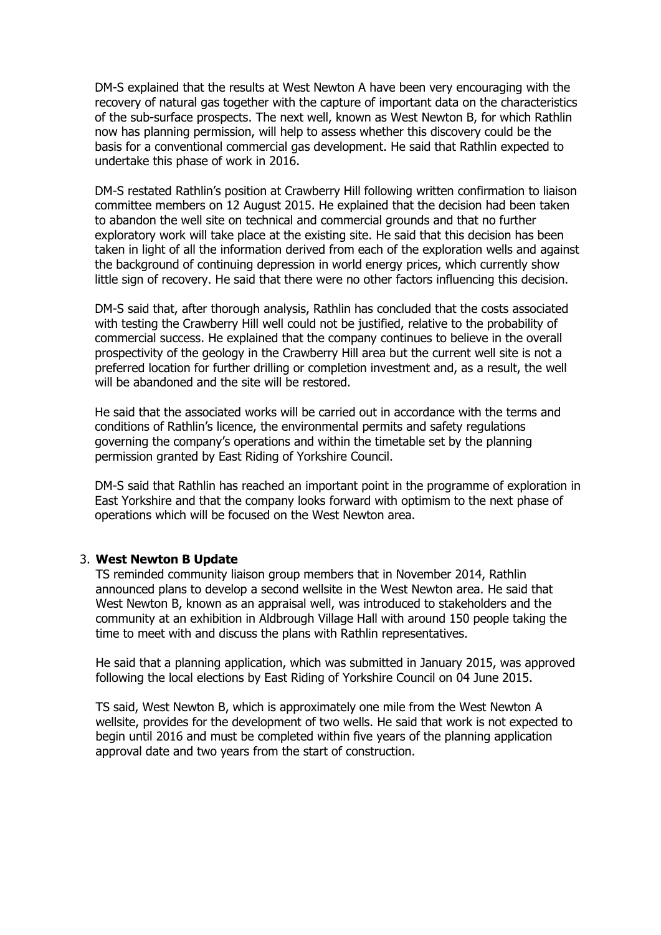DM-S explained that the results at West Newton A have been very encouraging with the recovery of natural gas together with the capture of important data on the characteristics of the sub-surface prospects. The next well, known as West Newton B, for which Rathlin now has planning permission, will help to assess whether this discovery could be the basis for a conventional commercial gas development. He said that Rathlin expected to undertake this phase of work in 2016.

DM-S restated Rathlin's position at Crawberry Hill following written confirmation to liaison committee members on 12 August 2015. He explained that the decision had been taken to abandon the well site on technical and commercial grounds and that no further exploratory work will take place at the existing site. He said that this decision has been taken in light of all the information derived from each of the exploration wells and against the background of continuing depression in world energy prices, which currently show little sign of recovery. He said that there were no other factors influencing this decision.

DM-S said that, after thorough analysis, Rathlin has concluded that the costs associated with testing the Crawberry Hill well could not be justified, relative to the probability of commercial success. He explained that the company continues to believe in the overall prospectivity of the geology in the Crawberry Hill area but the current well site is not a preferred location for further drilling or completion investment and, as a result, the well will be abandoned and the site will be restored.

He said that the associated works will be carried out in accordance with the terms and conditions of Rathlin's licence, the environmental permits and safety regulations governing the company's operations and within the timetable set by the planning permission granted by East Riding of Yorkshire Council.

DM-S said that Rathlin has reached an important point in the programme of exploration in East Yorkshire and that the company looks forward with optimism to the next phase of operations which will be focused on the West Newton area.

## 3. **West Newton B Update**

TS reminded community liaison group members that in November 2014, Rathlin announced plans to develop a second wellsite in the West Newton area. He said that West Newton B, known as an appraisal well, was introduced to stakeholders and the community at an exhibition in Aldbrough Village Hall with around 150 people taking the time to meet with and discuss the plans with Rathlin representatives.

He said that a planning application, which was submitted in January 2015, was approved following the local elections by East Riding of Yorkshire Council on 04 June 2015.

TS said, West Newton B, which is approximately one mile from the West Newton A wellsite, provides for the development of two wells. He said that work is not expected to begin until 2016 and must be completed within five years of the planning application approval date and two years from the start of construction.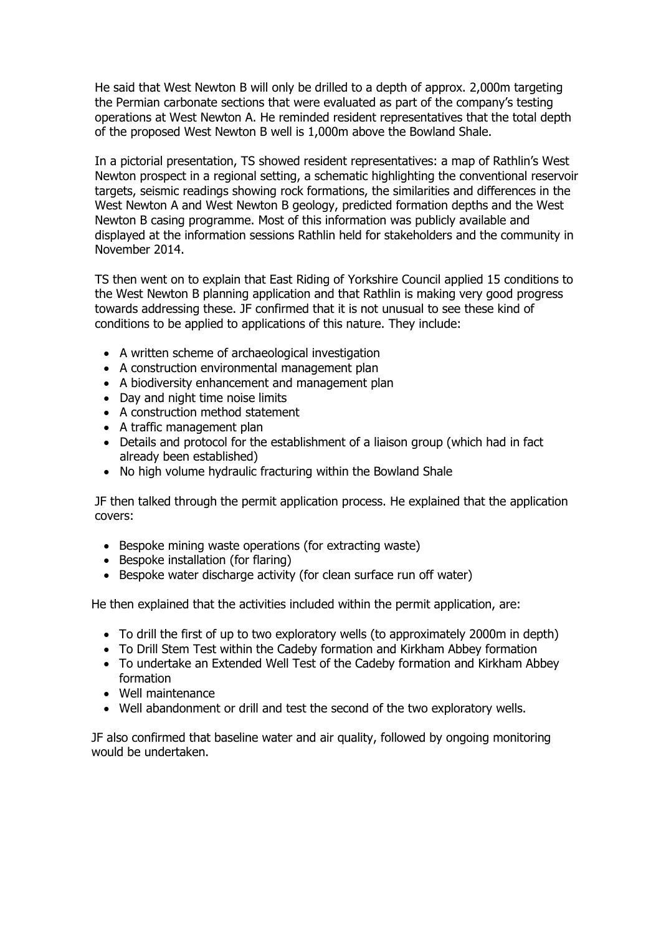He said that West Newton B will only be drilled to a depth of approx. 2,000m targeting the Permian carbonate sections that were evaluated as part of the company's testing operations at West Newton A. He reminded resident representatives that the total depth of the proposed West Newton B well is 1,000m above the Bowland Shale.

In a pictorial presentation, TS showed resident representatives: a map of Rathlin's West Newton prospect in a regional setting, a schematic highlighting the conventional reservoir targets, seismic readings showing rock formations, the similarities and differences in the West Newton A and West Newton B geology, predicted formation depths and the West Newton B casing programme. Most of this information was publicly available and displayed at the information sessions Rathlin held for stakeholders and the community in November 2014.

TS then went on to explain that East Riding of Yorkshire Council applied 15 conditions to the West Newton B planning application and that Rathlin is making very good progress towards addressing these. JF confirmed that it is not unusual to see these kind of conditions to be applied to applications of this nature. They include:

- A written scheme of archaeological investigation
- A construction environmental management plan
- A biodiversity enhancement and management plan
- Day and night time noise limits
- A construction method statement
- A traffic management plan
- Details and protocol for the establishment of a liaison group (which had in fact already been established)
- No high volume hydraulic fracturing within the Bowland Shale

JF then talked through the permit application process. He explained that the application covers:

- Bespoke mining waste operations (for extracting waste)
- Bespoke installation (for flaring)
- Bespoke water discharge activity (for clean surface run off water)

He then explained that the activities included within the permit application, are:

- To drill the first of up to two exploratory wells (to approximately 2000m in depth)
- To Drill Stem Test within the Cadeby formation and Kirkham Abbey formation
- To undertake an Extended Well Test of the Cadeby formation and Kirkham Abbey formation
- Well maintenance
- Well abandonment or drill and test the second of the two exploratory wells.

 JF also confirmed that baseline water and air quality, followed by ongoing monitoring would be undertaken.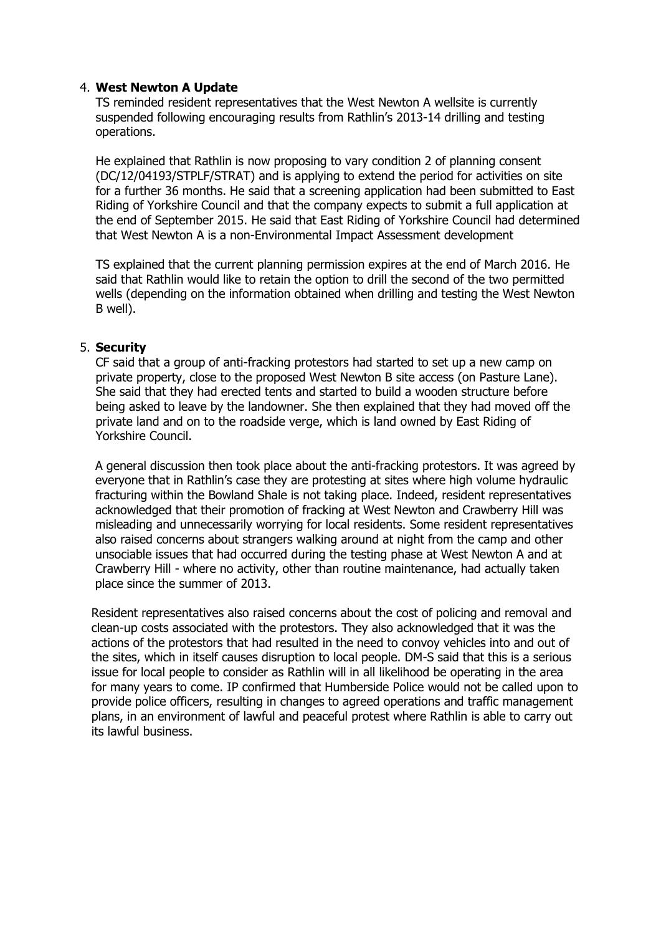## 4. **West Newton A Update**

TS reminded resident representatives that the West Newton A wellsite is currently suspended following encouraging results from Rathlin's 2013-14 drilling and testing operations.

He explained that Rathlin is now proposing to vary condition 2 of planning consent (DC/12/04193/STPLF/STRAT) and is applying to extend the period for activities on site for a further 36 months. He said that a screening application had been submitted to East Riding of Yorkshire Council and that the company expects to submit a full application at the end of September 2015. He said that East Riding of Yorkshire Council had determined that West Newton A is a non-Environmental Impact Assessment development

TS explained that the current planning permission expires at the end of March 2016. He said that Rathlin would like to retain the option to drill the second of the two permitted wells (depending on the information obtained when drilling and testing the West Newton B well).

## 5. **Security**

CF said that a group of anti-fracking protestors had started to set up a new camp on private property, close to the proposed West Newton B site access (on Pasture Lane). She said that they had erected tents and started to build a wooden structure before being asked to leave by the landowner. She then explained that they had moved off the private land and on to the roadside verge, which is land owned by East Riding of Yorkshire Council.

 A general discussion then took place about the anti-fracking protestors. It was agreed by everyone that in Rathlin's case they are protesting at sites where high volume hydraulic fracturing within the Bowland Shale is not taking place. Indeed, resident representatives acknowledged that their promotion of fracking at West Newton and Crawberry Hill was misleading and unnecessarily worrying for local residents. Some resident representatives also raised concerns about strangers walking around at night from the camp and other unsociable issues that had occurred during the testing phase at West Newton A and at Crawberry Hill - where no activity, other than routine maintenance, had actually taken place since the summer of 2013.

 Resident representatives also raised concerns about the cost of policing and removal and clean-up costs associated with the protestors. They also acknowledged that it was the actions of the protestors that had resulted in the need to convoy vehicles into and out of the sites, which in itself causes disruption to local people. DM-S said that this is a serious issue for local people to consider as Rathlin will in all likelihood be operating in the area for many years to come. IP confirmed that Humberside Police would not be called upon to provide police officers, resulting in changes to agreed operations and traffic management plans, in an environment of lawful and peaceful protest where Rathlin is able to carry out its lawful business.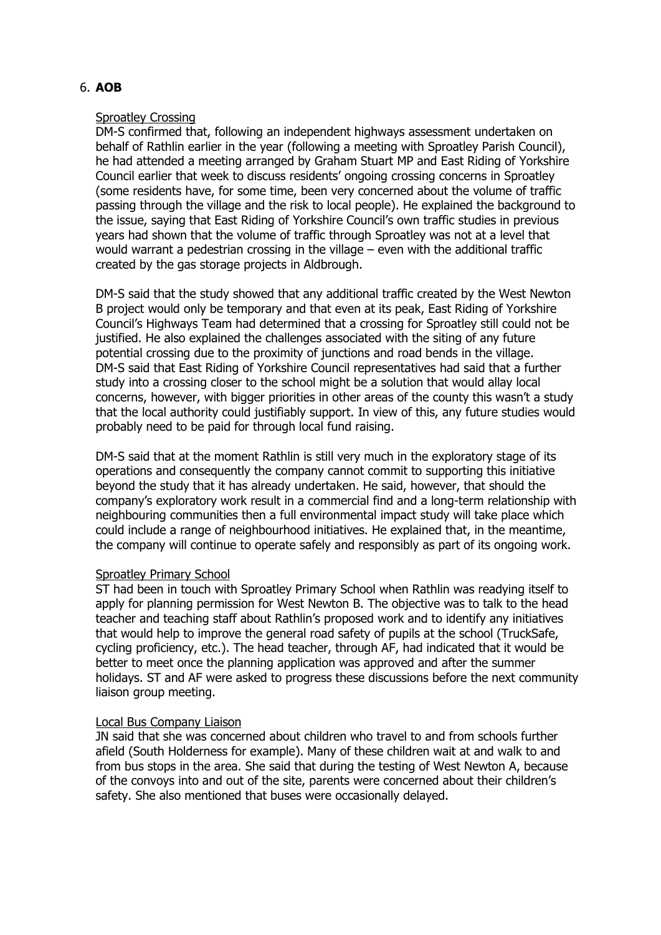# 6. **AOB**

## Sproatley Crossing

DM-S confirmed that, following an independent highways assessment undertaken on behalf of Rathlin earlier in the year (following a meeting with Sproatley Parish Council), he had attended a meeting arranged by Graham Stuart MP and East Riding of Yorkshire Council earlier that week to discuss residents' ongoing crossing concerns in Sproatley (some residents have, for some time, been very concerned about the volume of traffic passing through the village and the risk to local people). He explained the background to the issue, saying that East Riding of Yorkshire Council's own traffic studies in previous years had shown that the volume of traffic through Sproatley was not at a level that would warrant a pedestrian crossing in the village – even with the additional traffic created by the gas storage projects in Aldbrough.

DM-S said that the study showed that any additional traffic created by the West Newton B project would only be temporary and that even at its peak, East Riding of Yorkshire Council's Highways Team had determined that a crossing for Sproatley still could not be justified. He also explained the challenges associated with the siting of any future potential crossing due to the proximity of junctions and road bends in the village. DM-S said that East Riding of Yorkshire Council representatives had said that a further study into a crossing closer to the school might be a solution that would allay local concerns, however, with bigger priorities in other areas of the county this wasn't a study that the local authority could justifiably support. In view of this, any future studies would probably need to be paid for through local fund raising.

DM-S said that at the moment Rathlin is still very much in the exploratory stage of its operations and consequently the company cannot commit to supporting this initiative beyond the study that it has already undertaken. He said, however, that should the company's exploratory work result in a commercial find and a long-term relationship with neighbouring communities then a full environmental impact study will take place which could include a range of neighbourhood initiatives. He explained that, in the meantime, the company will continue to operate safely and responsibly as part of its ongoing work.

## Sproatley Primary School

ST had been in touch with Sproatley Primary School when Rathlin was readying itself to apply for planning permission for West Newton B. The objective was to talk to the head teacher and teaching staff about Rathlin's proposed work and to identify any initiatives that would help to improve the general road safety of pupils at the school (TruckSafe, cycling proficiency, etc.). The head teacher, through AF, had indicated that it would be better to meet once the planning application was approved and after the summer holidays. ST and AF were asked to progress these discussions before the next community liaison group meeting.

## Local Bus Company Liaison

JN said that she was concerned about children who travel to and from schools further afield (South Holderness for example). Many of these children wait at and walk to and from bus stops in the area. She said that during the testing of West Newton A, because of the convoys into and out of the site, parents were concerned about their children's safety. She also mentioned that buses were occasionally delayed.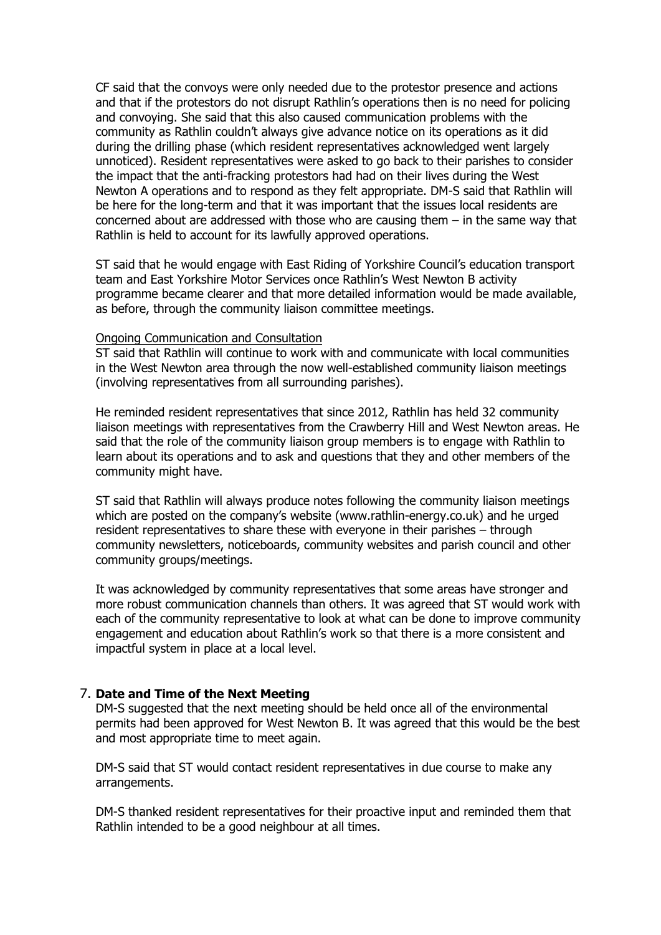CF said that the convoys were only needed due to the protestor presence and actions and that if the protestors do not disrupt Rathlin's operations then is no need for policing and convoying. She said that this also caused communication problems with the community as Rathlin couldn't always give advance notice on its operations as it did during the drilling phase (which resident representatives acknowledged went largely unnoticed). Resident representatives were asked to go back to their parishes to consider the impact that the anti-fracking protestors had had on their lives during the West Newton A operations and to respond as they felt appropriate. DM-S said that Rathlin will be here for the long-term and that it was important that the issues local residents are concerned about are addressed with those who are causing them – in the same way that Rathlin is held to account for its lawfully approved operations.

ST said that he would engage with East Riding of Yorkshire Council's education transport team and East Yorkshire Motor Services once Rathlin's West Newton B activity programme became clearer and that more detailed information would be made available, as before, through the community liaison committee meetings.

### Ongoing Communication and Consultation

ST said that Rathlin will continue to work with and communicate with local communities in the West Newton area through the now well-established community liaison meetings (involving representatives from all surrounding parishes).

He reminded resident representatives that since 2012, Rathlin has held 32 community liaison meetings with representatives from the Crawberry Hill and West Newton areas. He said that the role of the community liaison group members is to engage with Rathlin to learn about its operations and to ask and questions that they and other members of the community might have.

ST said that Rathlin will always produce notes following the community liaison meetings which are posted on the company's website (www.rathlin-energy.co.uk) and he urged resident representatives to share these with everyone in their parishes – through community newsletters, noticeboards, community websites and parish council and other community groups/meetings.

It was acknowledged by community representatives that some areas have stronger and more robust communication channels than others. It was agreed that ST would work with each of the community representative to look at what can be done to improve community engagement and education about Rathlin's work so that there is a more consistent and impactful system in place at a local level.

### 7. **Date and Time of the Next Meeting**

DM-S suggested that the next meeting should be held once all of the environmental permits had been approved for West Newton B. It was agreed that this would be the best and most appropriate time to meet again.

DM-S said that ST would contact resident representatives in due course to make any arrangements.

DM-S thanked resident representatives for their proactive input and reminded them that Rathlin intended to be a good neighbour at all times.